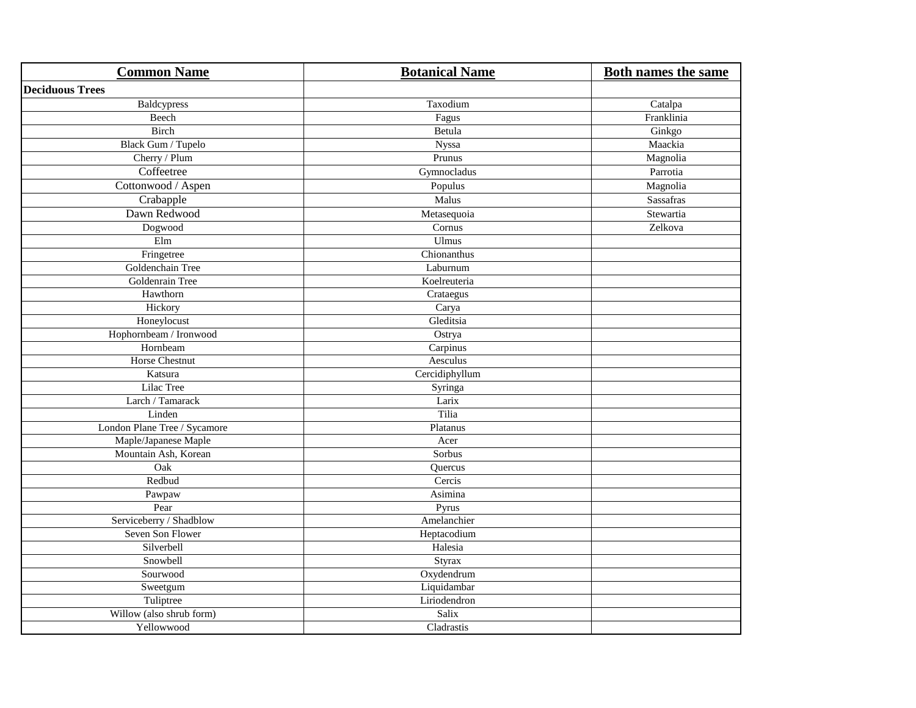| <b>Common Name</b>           | <b>Botanical Name</b> | <b>Both names the same</b> |
|------------------------------|-----------------------|----------------------------|
| <b>Deciduous Trees</b>       |                       |                            |
| Baldcypress                  | Taxodium              | Catalpa                    |
| Beech                        | Fagus                 | Franklinia                 |
| Birch                        | Betula                | Ginkgo                     |
| Black Gum / Tupelo           | Nyssa                 | Maackia                    |
| Cherry / Plum                | Prunus                | Magnolia                   |
| Coffeetree                   | Gymnocladus           | Parrotia                   |
| Cottonwood / Aspen           | Populus               | Magnolia                   |
| Crabapple                    | Malus                 | <b>Sassafras</b>           |
| Dawn Redwood                 | Metasequoia           | Stewartia                  |
| Dogwood                      | Cornus                | Zelkova                    |
| $\operatorname{Elm}$         | Ulmus                 |                            |
| Fringetree                   | Chionanthus           |                            |
| Goldenchain Tree             | Laburnum              |                            |
| Goldenrain Tree              | Koelreuteria          |                            |
| Hawthorn                     | Crataegus             |                            |
| Hickory                      | Carya                 |                            |
| Honeylocust                  | Gleditsia             |                            |
| Hophornbeam / Ironwood       | Ostrya                |                            |
| Hornbeam                     | Carpinus              |                            |
| Horse Chestnut               | Aesculus              |                            |
| Katsura                      | Cercidiphyllum        |                            |
| Lilac Tree                   | Syringa               |                            |
| Larch / Tamarack             | Larix                 |                            |
| Linden                       | Tilia                 |                            |
| London Plane Tree / Sycamore | Platanus              |                            |
| Maple/Japanese Maple         | Acer                  |                            |
| Mountain Ash, Korean         | Sorbus                |                            |
| Oak                          | Quercus               |                            |
| Redbud                       | Cercis                |                            |
| Pawpaw                       | Asimina               |                            |
| Pear                         | Pyrus                 |                            |
| Serviceberry / Shadblow      | Amelanchier           |                            |
| Seven Son Flower             | Heptacodium           |                            |
| Silverbell                   | Halesia               |                            |
| Snowbell                     | Styrax                |                            |
| Sourwood                     | Oxydendrum            |                            |
| Sweetgum                     | Liquidambar           |                            |
| Tuliptree                    | Liriodendron          |                            |
| Willow (also shrub form)     | Salix                 |                            |
| Yellowwood                   | Cladrastis            |                            |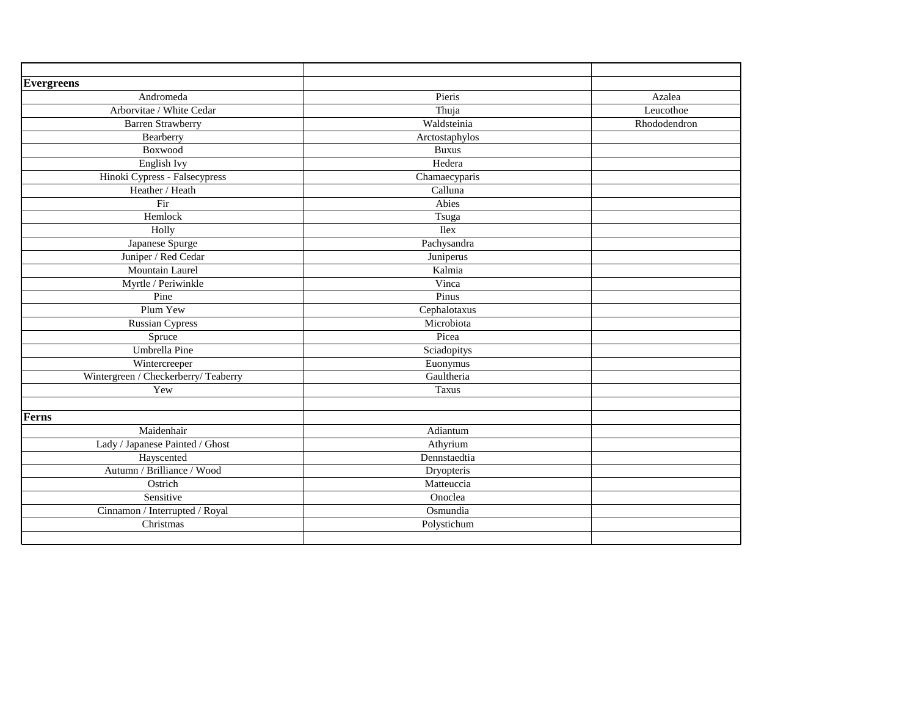| <b>Evergreens</b>                    |                |              |
|--------------------------------------|----------------|--------------|
| Andromeda                            | Pieris         | Azalea       |
| Arborvitae / White Cedar             | Thuja          | Leucothoe    |
| <b>Barren Strawberry</b>             | Waldsteinia    | Rhododendron |
| Bearberry                            | Arctostaphylos |              |
| Boxwood                              | <b>Buxus</b>   |              |
| English Ivy                          | Hedera         |              |
| Hinoki Cypress - Falsecypress        | Chamaecyparis  |              |
| Heather / Heath                      | Calluna        |              |
| Fir                                  | Abies          |              |
| Hemlock                              | Tsuga          |              |
| Holly                                | <b>Ilex</b>    |              |
| Japanese Spurge                      | Pachysandra    |              |
| Juniper / Red Cedar                  | Juniperus      |              |
| Mountain Laurel                      | Kalmia         |              |
| Myrtle / Periwinkle                  | Vinca          |              |
| Pine                                 | Pinus          |              |
| Plum Yew                             | Cephalotaxus   |              |
| <b>Russian Cypress</b>               | Microbiota     |              |
| Spruce                               | Picea          |              |
| Umbrella Pine                        | Sciadopitys    |              |
| Wintercreeper                        | Euonymus       |              |
| Wintergreen / Checkerberry/ Teaberry | Gaultheria     |              |
| Yew                                  | <b>Taxus</b>   |              |
|                                      |                |              |
| <b>Ferns</b>                         |                |              |
| Maidenhair                           | Adiantum       |              |
| Lady / Japanese Painted / Ghost      | Athyrium       |              |
| Hayscented                           | Dennstaedtia   |              |
| Autumn / Brilliance / Wood           | Dryopteris     |              |
| Ostrich                              | Matteuccia     |              |
| Sensitive                            | Onoclea        |              |
| Cinnamon / Interrupted / Royal       | Osmundia       |              |
| Christmas                            | Polystichum    |              |
|                                      |                |              |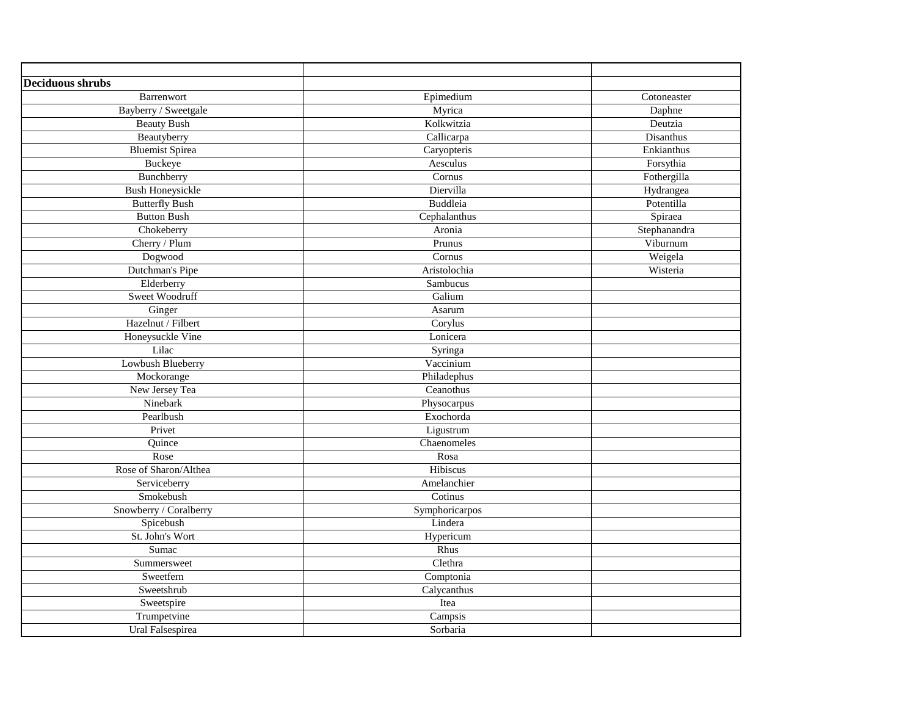| <b>Deciduous shrubs</b> |                       |              |
|-------------------------|-----------------------|--------------|
| Barrenwort              | Epimedium             | Cotoneaster  |
| Bayberry / Sweetgale    | Myrica                | Daphne       |
| <b>Beauty Bush</b>      | Kolkwitzia            | Deutzia      |
| Beautyberry             | Callicarpa            | Disanthus    |
| <b>Bluemist Spirea</b>  | Caryopteris           | Enkianthus   |
| Buckeye                 | Aesculus              | Forsythia    |
| Bunchberry              | Cornus                | Fothergilla  |
| <b>Bush Honeysickle</b> | Diervilla             | Hydrangea    |
| <b>Butterfly Bush</b>   | Buddleia              | Potentilla   |
| <b>Button Bush</b>      | Cephalanthus          | Spiraea      |
| Chokeberry              | Aronia                | Stephanandra |
| Cherry / Plum           | Prunus                | Viburnum     |
| Dogwood                 | Cornus                | Weigela      |
| Dutchman's Pipe         | Aristolochia          | Wisteria     |
| Elderberry              | Sambucus              |              |
| Sweet Woodruff          | Galium                |              |
| Ginger                  | Asarum                |              |
| Hazelnut / Filbert      | Corylus               |              |
| Honeysuckle Vine        | Lonicera              |              |
| Lilac                   | Syringa               |              |
| Lowbush Blueberry       | Vaccinium             |              |
| Mockorange              | Philadephus           |              |
| New Jersey Tea          | Ceanothus             |              |
| Ninebark                | Physocarpus           |              |
| Pearlbush               | Exochorda             |              |
| Privet                  | Ligustrum             |              |
| Quince                  | Chaenomeles           |              |
| Rose                    | Rosa                  |              |
| Rose of Sharon/Althea   | Hibiscus              |              |
| Serviceberry            | Amelanchier           |              |
| Smokebush               | Cotinus               |              |
| Snowberry / Coralberry  | Symphoricarpos        |              |
| Spicebush               | Lindera               |              |
| St. John's Wort         | Hypericum             |              |
| Sumac                   | Rhus                  |              |
| Summersweet             | Clethra               |              |
| Sweetfern               | Comptonia             |              |
| Sweetshrub              | Calycanthus           |              |
| Sweetspire              | Itea                  |              |
| Trumpetvine             | $\overline{C}$ ampsis |              |
| Ural Falsespirea        | Sorbaria              |              |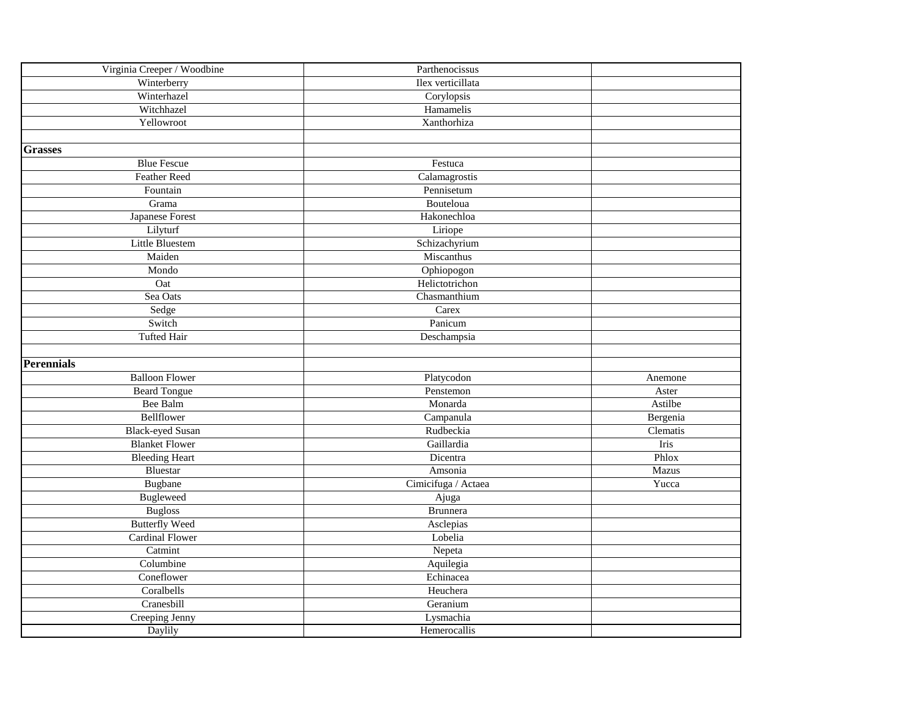| Virginia Creeper / Woodbine    | Parthenocissus      |          |
|--------------------------------|---------------------|----------|
| Winterberry                    | Ilex verticillata   |          |
| Winterhazel                    | Corylopsis          |          |
| Witchhazel                     | Hamamelis           |          |
| Yellowroot                     | Xanthorhiza         |          |
|                                |                     |          |
| <b>Grasses</b>                 |                     |          |
| <b>Blue Fescue</b>             | Festuca             |          |
| <b>Feather Reed</b>            | Calamagrostis       |          |
| Fountain                       | Pennisetum          |          |
| Grama                          | Bouteloua           |          |
| Japanese Forest                | Hakonechloa         |          |
| Lilyturf                       | Liriope             |          |
| Little Bluestem                | Schizachyrium       |          |
| Maiden                         | Miscanthus          |          |
| Mondo                          | Ophiopogon          |          |
| Oat                            | Helictotrichon      |          |
| Sea Oats                       | Chasmanthium        |          |
| Sedge                          | Carex               |          |
| Switch                         | Panicum             |          |
| <b>Tufted Hair</b>             | Deschampsia         |          |
|                                |                     |          |
| <b>Perennials</b>              |                     |          |
| <b>Balloon Flower</b>          | Platycodon          | Anemone  |
| <b>Beard Tongue</b>            | Penstemon           | Aster    |
| Bee Balm                       | Monarda             | Astilbe  |
| Bellflower                     | Campanula           | Bergenia |
| <b>Black-eyed Susan</b>        | Rudbeckia           | Clematis |
| <b>Blanket Flower</b>          | Gaillardia          | Iris     |
| <b>Bleeding Heart</b>          | Dicentra            | Phlox    |
| Bluestar                       | Amsonia             | Mazus    |
| Bugbane                        | Cimicifuga / Actaea | Yucca    |
| <b>Bugleweed</b>               | Ajuga               |          |
| <b>Bugloss</b>                 | <b>Brunnera</b>     |          |
| <b>Butterfly Weed</b>          | Asclepias           |          |
| <b>Cardinal Flower</b>         | Lobelia             |          |
| $\overline{\mathrm{C}}$ atmint | Nepeta              |          |
| Columbine                      | Aquilegia           |          |
| Coneflower                     | Echinacea           |          |
| Coralbells                     | Heuchera            |          |
| Cranesbill                     | Geranium            |          |
| Creeping Jenny                 | Lysmachia           |          |
| Daylily                        | Hemerocallis        |          |